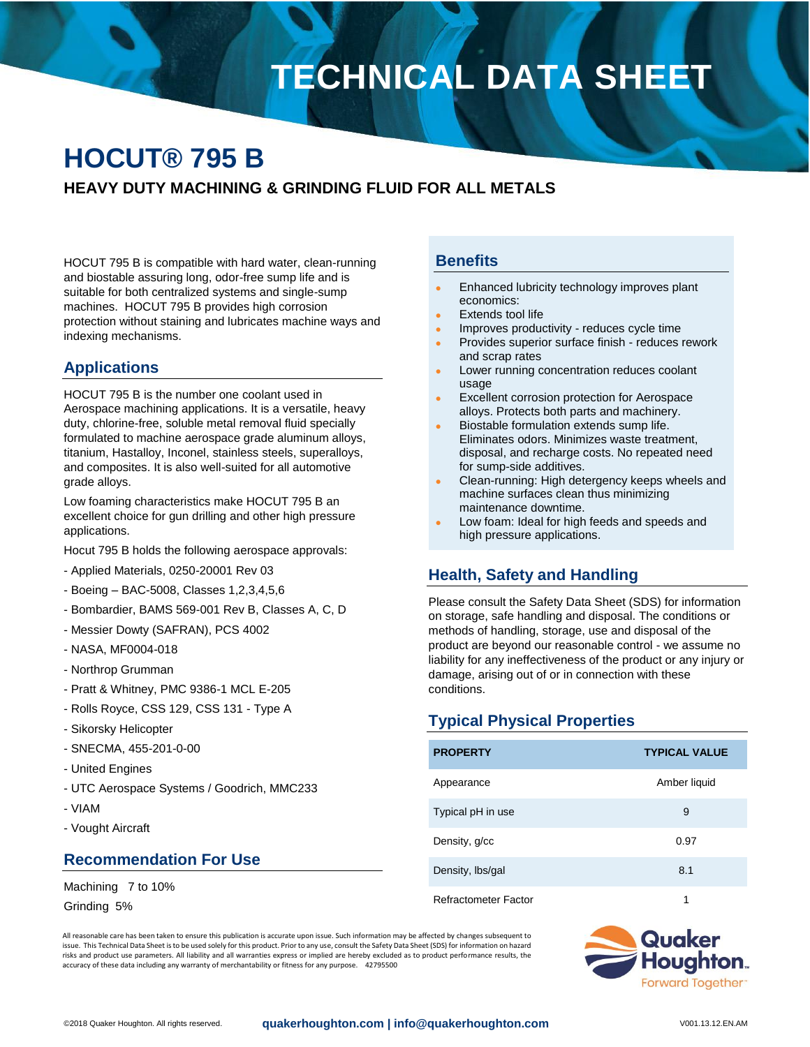# **TECHNICAL DATA SHEET**

## **HOCUT® 795 B HEAVY DUTY MACHINING & GRINDING FLUID FOR ALL METALS**

HOCUT 795 B is compatible with hard water, clean-running and biostable assuring long, odor-free sump life and is suitable for both centralized systems and single-sump machines. HOCUT 795 B provides high corrosion protection without staining and lubricates machine ways and indexing mechanisms.

#### **Applications**

HOCUT 795 B is the number one coolant used in Aerospace machining applications. It is a versatile, heavy duty, chlorine-free, soluble metal removal fluid specially formulated to machine aerospace grade aluminum alloys, titanium, Hastalloy, Inconel, stainless steels, superalloys, and composites. It is also well-suited for all automotive grade alloys.

Low foaming characteristics make HOCUT 795 B an excellent choice for gun drilling and other high pressure applications.

Hocut 795 B holds the following aerospace approvals:

- Applied Materials, 0250-20001 Rev 03
- Boeing BAC-5008, Classes 1,2,3,4,5,6
- Bombardier, BAMS 569-001 Rev B, Classes A, C, D
- Messier Dowty (SAFRAN), PCS 4002
- NASA, MF0004-018
- Northrop Grumman
- Pratt & Whitney, PMC 9386-1 MCL E-205
- Rolls Royce, CSS 129, CSS 131 Type A
- Sikorsky Helicopter
- SNECMA, 455-201-0-00
- United Engines
- UTC Aerospace Systems / Goodrich, MMC233
- VIAM
- Vought Aircraft

#### **Recommendation For Use**

Machining 7 to 10%

Grinding 5%

#### **Benefits**

- Enhanced lubricity technology improves plant economics:
- Extends tool life
- Improves productivity reduces cycle time
- Provides superior surface finish reduces rework and scrap rates
- Lower running concentration reduces coolant usage
- Excellent corrosion protection for Aerospace alloys. Protects both parts and machinery.
- Biostable formulation extends sump life. Eliminates odors. Minimizes waste treatment, disposal, and recharge costs. No repeated need for sump-side additives.
- Clean-running: High detergency keeps wheels and machine surfaces clean thus minimizing maintenance downtime.
- Low foam: Ideal for high feeds and speeds and high pressure applications.

#### **Health, Safety and Handling**

Please consult the Safety Data Sheet (SDS) for information on storage, safe handling and disposal. The conditions or methods of handling, storage, use and disposal of the product are beyond our reasonable control - we assume no liability for any ineffectiveness of the product or any injury or damage, arising out of or in connection with these conditions.

### **Typical Physical Properties**

| <b>PROPERTY</b>      | <b>TYPICAL VALUE</b> |
|----------------------|----------------------|
| Appearance           | Amber liquid         |
| Typical pH in use    | 9                    |
| Density, g/cc        | 0.97                 |
| Density, Ibs/gal     | 8.1                  |
| Refractometer Factor | 1                    |

All reasonable care has been taken to ensure this publication is accurate upon issue. Such information may be affected by changes subsequent to issue. This Technical Data Sheet is to be used solely for this product. Prior to any use, consult the Safety Data Sheet (SDS) for information on hazard risks and product use parameters. All liability and all warranties express or implied are hereby excluded as to product performance results, the accuracy of these data including any warranty of merchantability or fitness for any purpose. 42795500